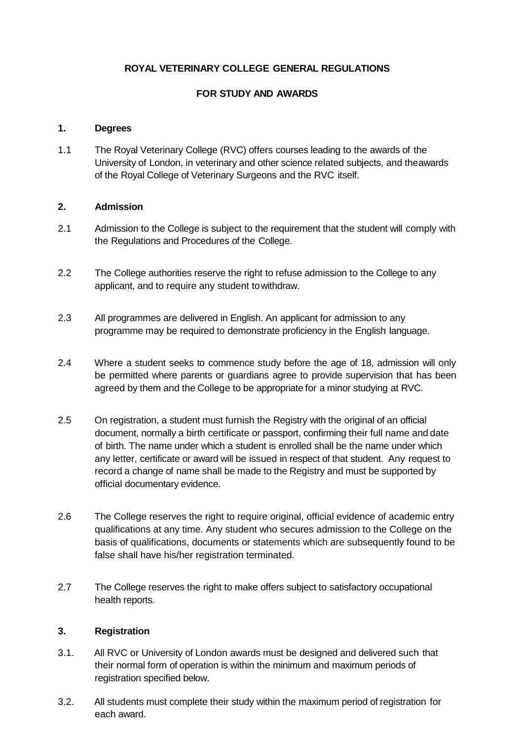## **ROYAL VETERINARY COLLEGE GENERAL REGULATIONS**

# **FOR STUDY AND AWARDS**

## **1. Degrees**

1.1 The Royal Veterinary College (RVC) offers courses leading to the awards of the University of London, in veterinary and other science related subjects, and theawards of the Royal College of Veterinary Surgeons and the RVC itself.

## **2. Admission**

- 2.1 Admission to the College is subject to the requirement that the student will comply with the Regulations and Procedures of the College.
- 2.2 The College authorities reserve the right to refuse admission to the College to any applicant, and to require any student towithdraw.
- 2.3 All programmes are delivered in English. An applicant for admission to any programme may be required to demonstrate proficiency in the English language.
- 2.4 Where a student seeks to commence study before the age of 18, admission will only be permitted where parents or guardians agree to provide supervision that has been agreed by them and the College to be appropriate for a minor studying at RVC.
- 2.5 On registration, a student must furnish the Registry with the original of an official document, normally a birth certificate or passport, confirming their full name and date of birth. The name under which a student is enrolled shall be the name under which any letter, certificate or award will be issued in respect of that student. Any request to record a change of name shall be made to the Registry and must be supported by official documentary evidence.
- 2.6 The College reserves the right to require original, official evidence of academic entry qualifications at any time. Any student who secures admission to the College on the basis of qualifications, documents or statements which are subsequently found to be false shall have his/her registration terminated.
- 2.7 The College reserves the right to make offers subject to satisfactory occupational health reports.

## **3. Registration**

- 3.1. All RVC or University of London awards must be designed and delivered such that their normal form of operation is within the minimum and maximum periods of registration specified below.
- 3.2. All students must complete their study within the maximum period of registration for each award.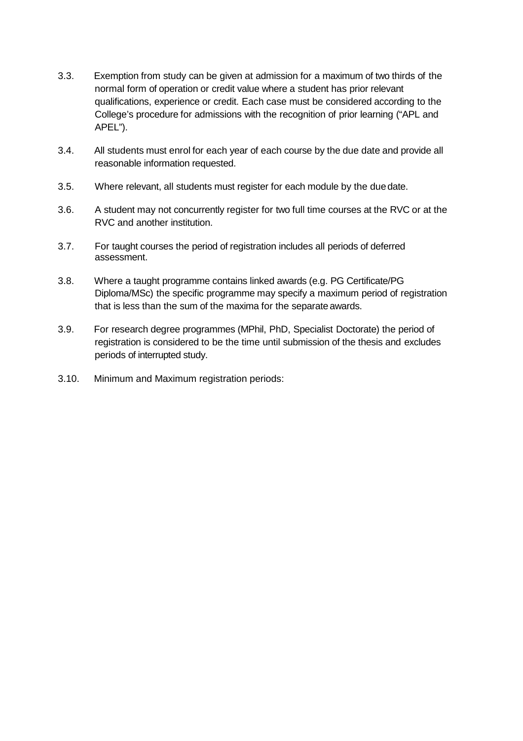- 3.3. Exemption from study can be given at admission for a maximum of two thirds of the normal form of operation or credit value where a student has prior relevant qualifications, experience or credit. Each case must be considered according to the College's procedure for admissions with the recognition of prior learning ("APL and APEL").
- 3.4. All students must enrol for each year of each course by the due date and provide all reasonable information requested.
- 3.5. Where relevant, all students must register for each module by the duedate.
- 3.6. A student may not concurrently register for two full time courses at the RVC or at the RVC and another institution.
- 3.7. For taught courses the period of registration includes all periods of deferred assessment.
- 3.8. Where a taught programme contains linked awards (e.g. PG Certificate/PG Diploma/MSc) the specific programme may specify a maximum period of registration that is less than the sum of the maxima for the separate awards.
- 3.9. For research degree programmes (MPhil, PhD, Specialist Doctorate) the period of registration is considered to be the time until submission of the thesis and excludes periods of interrupted study.
- 3.10. Minimum and Maximum registration periods: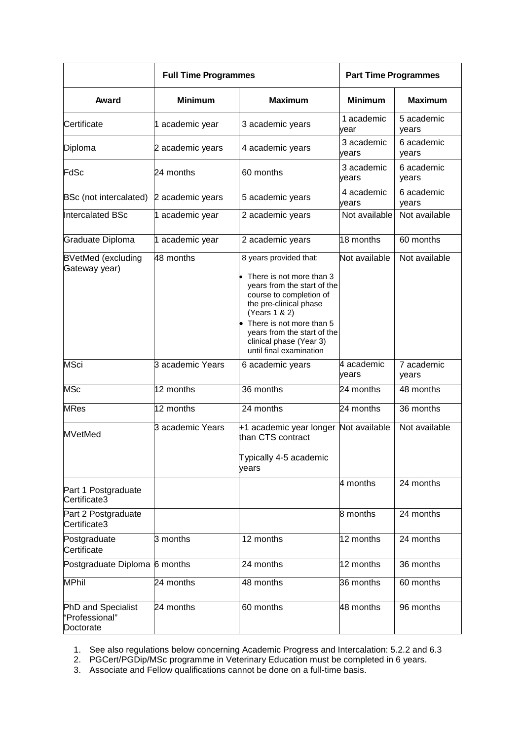|                                                   | <b>Full Time Programmes</b> |                                                                                                                                                                                                                              | <b>Part Time Programmes</b> |                     |
|---------------------------------------------------|-----------------------------|------------------------------------------------------------------------------------------------------------------------------------------------------------------------------------------------------------------------------|-----------------------------|---------------------|
| Award                                             | <b>Minimum</b>              | <b>Maximum</b>                                                                                                                                                                                                               | <b>Minimum</b>              | <b>Maximum</b>      |
| Certificate                                       | 1 academic year             | 3 academic years                                                                                                                                                                                                             | 1 academic<br>vear          | 5 academic<br>years |
| Diploma                                           | 2 academic years            | 4 academic years                                                                                                                                                                                                             | 3 academic<br>vears         | 6 academic<br>years |
| FdSc                                              | 24 months                   | 60 months                                                                                                                                                                                                                    | 3 academic<br>years         | 6 academic<br>years |
| BSc (not intercalated)                            | 2 academic years            | 5 academic years                                                                                                                                                                                                             | 4 academic<br>vears         | 6 academic<br>years |
| <b>Intercalated BSc</b>                           | 1 academic year             | 2 academic years                                                                                                                                                                                                             | Not available               | Not available       |
| Graduate Diploma                                  | 1 academic year             | 2 academic years                                                                                                                                                                                                             | 18 months                   | 60 months           |
| <b>BVetMed (excluding</b><br>Gateway year)        | 48 months                   | 8 years provided that:<br>$\bullet$ There is not more than 3<br>years from the start of the<br>course to completion of<br>the pre-clinical phase<br>(Years 1 & 2)<br>There is not more than 5<br>years from the start of the | Not available               | Not available       |
| <b>MSci</b>                                       | 3 academic Years            | clinical phase (Year 3)<br>until final examination<br>6 academic years                                                                                                                                                       | 4 academic                  | 7 academic          |
|                                                   |                             |                                                                                                                                                                                                                              | vears                       | years               |
| <b>MSc</b>                                        | 12 months                   | 36 months                                                                                                                                                                                                                    | 24 months                   | 48 months           |
| <b>MRes</b>                                       | 12 months                   | 24 months                                                                                                                                                                                                                    | 24 months                   | 36 months           |
| <b>MVetMed</b>                                    | 3 academic Years            | +1 academic year longer Not available<br>than CTS contract<br>Typically 4-5 academic<br>years                                                                                                                                |                             | Not available       |
| Part 1 Postgraduate<br>Certificate3               |                             |                                                                                                                                                                                                                              | 4 months                    | 24 months           |
| Part 2 Postgraduate<br>Certificate3               |                             |                                                                                                                                                                                                                              | 8 months                    | 24 months           |
| Postgraduate<br>Certificate                       | 3 months                    | 12 months                                                                                                                                                                                                                    | 12 months                   | 24 months           |
| Postgraduate Diploma 6 months                     |                             | 24 months                                                                                                                                                                                                                    | 12 months                   | 36 months           |
| <b>MPhil</b>                                      | 24 months                   | 48 months                                                                                                                                                                                                                    | 36 months                   | 60 months           |
| PhD and Specialist<br>"Professional"<br>Doctorate | 24 months                   | 60 months                                                                                                                                                                                                                    | 48 months                   | 96 months           |

1. See also regulations below concerning Academic Progress and Intercalation: 5.2.2 and 6.3

2. PGCert/PGDip/MSc programme in Veterinary Education must be completed in 6 years.

3. Associate and Fellow qualifications cannot be done on a full-time basis.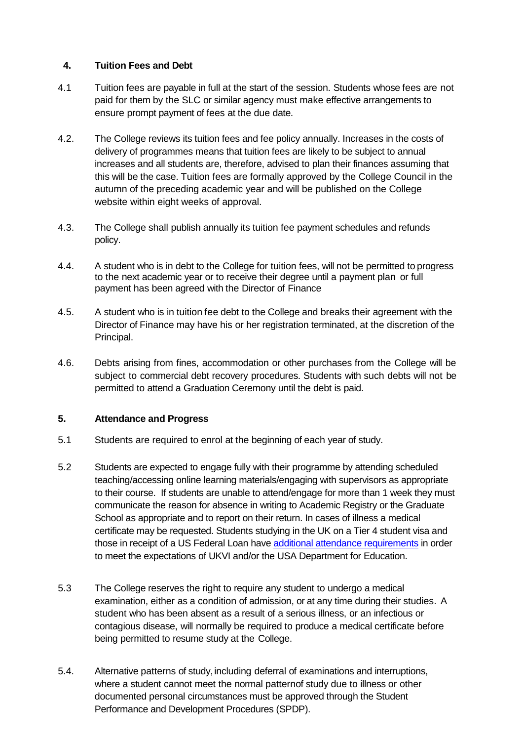## **4. Tuition Fees and Debt**

- 4.1 Tuition fees are payable in full at the start of the session. Students whose fees are not paid for them by the SLC or similar agency must make effective arrangements to ensure prompt payment of fees at the due date.
- 4.2. The College reviews its tuition fees and fee policy annually. Increases in the costs of delivery of programmes means that tuition fees are likely to be subject to annual increases and all students are, therefore, advised to plan their finances assuming that this will be the case. Tuition fees are formally approved by the College Council in the autumn of the preceding academic year and will be published on the College website within eight weeks of approval.
- 4.3. The College shall publish annually its tuition fee payment schedules and refunds policy.
- 4.4. A student who is in debt to the College for tuition fees, will not be permitted to progress to the next academic year or to receive their degree until a payment plan or full payment has been agreed with the Director of Finance
- 4.5. A student who is in tuition fee debt to the College and breaks their agreement with the Director of Finance may have his or her registration terminated, at the discretion of the Principal.
- 4.6. Debts arising from fines, accommodation or other purchases from the College will be subject to commercial debt recovery procedures. Students with such debts will not be permitted to attend a Graduation Ceremony until the debt is paid.

## **5. Attendance and Progress**

- 5.1 Students are required to enrol at the beginning of each year of study.
- 5.2 Students are expected to engage fully with their programme by attending scheduled teaching/accessing online learning materials/engaging with supervisors as appropriate to their course. If students are unable to attend/engage for more than 1 week they must communicate the reason for absence in writing to Academic Registry or the Graduate School as appropriate and to report on their return. In cases of illness a medical certificate may be requested. Students studying in the UK on a Tier 4 student visa and those in receipt of a US Federal Loan have [additional attendance requirements](https://www.rvc.ac.uk/study/fees-and-funding/international-students) in order to meet the expectations of UKVI and/or the USA Department for Education.
- 5.3 The College reserves the right to require any student to undergo a medical examination, either as a condition of admission, or at any time during their studies. A student who has been absent as a result of a serious illness, or an infectious or contagious disease, will normally be required to produce a medical certificate before being permitted to resume study at the College.
- 5.4. Alternative patterns of study,including deferral of examinations and interruptions, where a student cannot meet the normal patternof study due to illness or other documented personal circumstances must be approved through the Student Performance and Development Procedures (SPDP).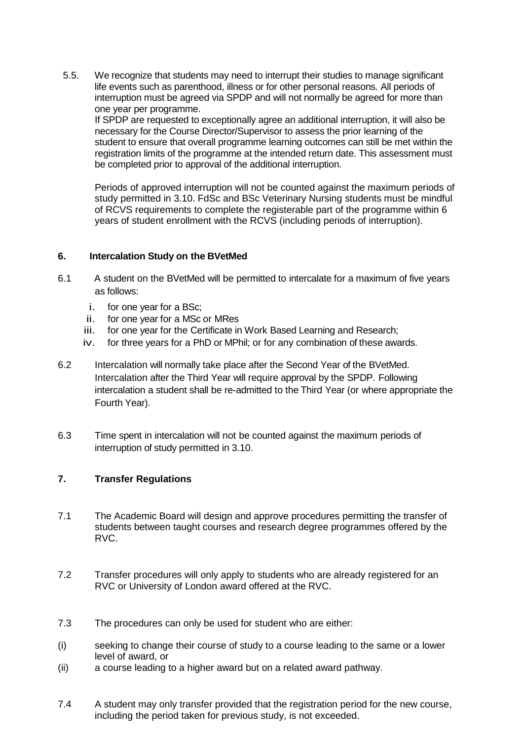5.5. We recognize that students may need to interrupt their studies to manage significant life events such as parenthood, illness or for other personal reasons. All periods of interruption must be agreed via SPDP and will not normally be agreed for more than one year per programme. If SPDP are requested to exceptionally agree an additional interruption, it will also be

necessary for the Course Director/Supervisor to assess the prior learning of the student to ensure that overall programme learning outcomes can still be met within the registration limits of the programme at the intended return date. This assessment must be completed prior to approval of the additional interruption.

Periods of approved interruption will not be counted against the maximum periods of study permitted in 3.10. FdSc and BSc Veterinary Nursing students must be mindful of RCVS requirements to complete the registerable part of the programme within 6 years of student enrollment with the RCVS (including periods of interruption).

## **6. Intercalation Study on the BVetMed**

- 6.1 A student on the BVetMed will be permitted to intercalate for a maximum of five years as follows:
	- i. for one year for a BSc;
	- ii. for one year for a MSc or MRes
	- iii. for one year for the Certificate in Work Based Learning and Research;
	- iv. for three years for a PhD or MPhil; or for any combination of these awards.
- 6.2 Intercalation will normally take place after the Second Year of the BVetMed. Intercalation after the Third Year will require approval by the SPDP. Following intercalation a student shall be re-admitted to the Third Year (or where appropriate the Fourth Year).
- 6.3 Time spent in intercalation will not be counted against the maximum periods of interruption of study permitted in 3.10.

## **7. Transfer Regulations**

- 7.1 The Academic Board will design and approve procedures permitting the transfer of students between taught courses and research degree programmes offered by the RVC.
- 7.2 Transfer procedures will only apply to students who are already registered for an RVC or University of London award offered at the RVC.
- 7.3 The procedures can only be used for student who are either:
- (i) seeking to change their course of study to a course leading to the same or a lower level of award, or
- (ii) a course leading to a higher award but on a related award pathway.
- 7.4 A student may only transfer provided that the registration period for the new course, including the period taken for previous study, is not exceeded.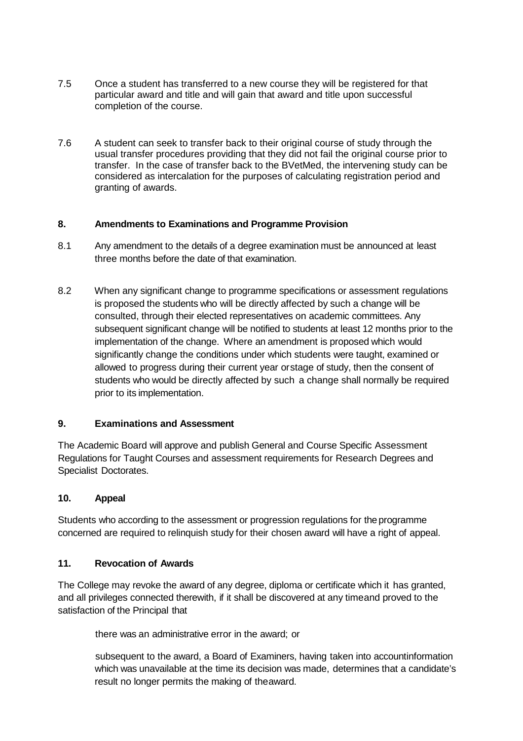- 7.5 Once a student has transferred to a new course they will be registered for that particular award and title and will gain that award and title upon successful completion of the course.
- 7.6 A student can seek to transfer back to their original course of study through the usual transfer procedures providing that they did not fail the original course prior to transfer. In the case of transfer back to the BVetMed, the intervening study can be considered as intercalation for the purposes of calculating registration period and granting of awards.

## **8. Amendments to Examinations and Programme Provision**

- 8.1 Any amendment to the details of a degree examination must be announced at least three months before the date of that examination.
- 8.2 When any significant change to programme specifications or assessment regulations is proposed the students who will be directly affected by such a change will be consulted, through their elected representatives on academic committees. Any subsequent significant change will be notified to students at least 12 months prior to the implementation of the change. Where an amendment is proposed which would significantly change the conditions under which students were taught, examined or allowed to progress during their current year orstage of study, then the consent of students who would be directly affected by such a change shall normally be required prior to its implementation.

## **9. Examinations and Assessment**

The Academic Board will approve and publish General and Course Specific Assessment Regulations for Taught Courses and assessment requirements for Research Degrees and Specialist Doctorates.

## **10. Appeal**

Students who according to the assessment or progression regulations for the programme concerned are required to relinquish study for their chosen award will have a right of appeal.

## **11. Revocation of Awards**

The College may revoke the award of any degree, diploma or certificate which it has granted, and all privileges connected therewith, if it shall be discovered at any timeand proved to the satisfaction of the Principal that

there was an administrative error in the award; or

subsequent to the award, a Board of Examiners, having taken into accountinformation which was unavailable at the time its decision was made, determines that a candidate's result no longer permits the making of theaward.